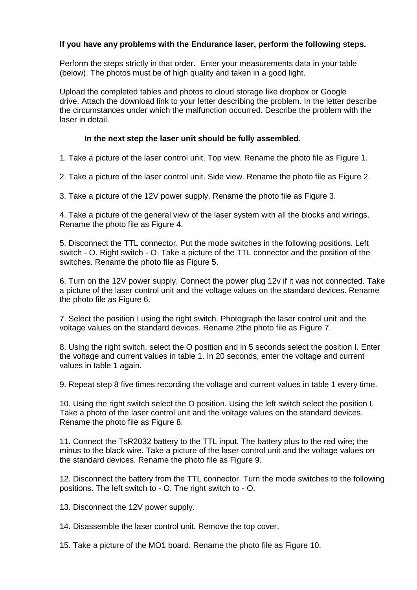## **If you have any problems with the Endurance laser, perform the following steps.**

Perform the steps strictly in that order. Enter your measurements data in your table (below). The photos must be of high quality and taken in a good light.

Upload the completed tables and photos to cloud storage like dropbox or Google drive. Attach the download link to your letter describing the problem. In the letter describe the circumstances under which the malfunction occurred. Describe the problem with the laser in detail.

## **In the next step the laser unit should be fully assembled.**

1. Take a picture of the laser control unit. Top view. Rename the photo file as Figure 1.

2. Take a picture of the laser control unit. Side view. Rename the photo file as Figure 2.

3. Take a picture of the 12V power supply. Rename the photo file as Figure 3.

4. Take a picture of the general view of the laser system with all the blocks and wirings. Rename the photo file as Figure 4.

5. Disconnect the TTL connector. Put the mode switches in the following positions. Left switch - O. Right switch - O. Take a picture of the TTL connector and the position of the switches. Rename the photo file as Figure 5.

6. Turn on the 12V power supply. Connect the power plug 12v if it was not connected. Take a picture of the laser control unit and the voltage values on the standard devices. Rename the photo file as Figure 6.

7. Select the position I using the right switch. Photograph the laser control unit and the voltage values on the standard devices. Rename 2the photo file as Figure 7.

8. Using the right switch, select the O position and in 5 seconds select the position I. Enter the voltage and current values in table 1. In 20 seconds, enter the voltage and current values in table 1 again.

9. Repeat step 8 five times recording the voltage and current values in table 1 every time.

10. Using the right switch select the O position. Using the left switch select the position I. Take a photo of the laser control unit and the voltage values on the standard devices. Rename the photo file as Figure 8.

11. Connect the TsR2032 battery to the TTL input. The battery plus to the red wire; the minus to the black wire. Take a picture of the laser control unit and the voltage values on the standard devices. Rename the photo file as Figure 9.

12. Disconnect the battery from the TTL connector. Turn the mode switches to the following positions. The left switch to - O. The right switch to - O.

13. Disconnect the 12V power supply.

14. Disassemble the laser control unit. Remove the top cover.

15. Take a picture of the MO1 board. Rename the photo file as Figure 10.